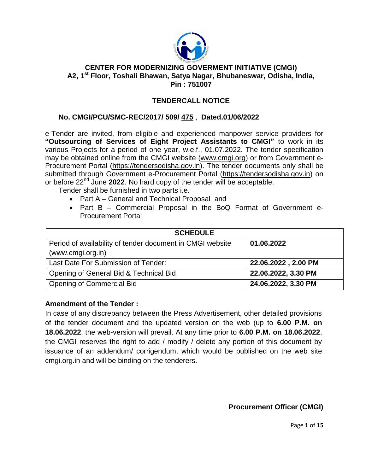

### **CENTER FOR MODERNIZING GOVERMENT INITIATIVE (CMGI) A2, 1st Floor, Toshali Bhawan, Satya Nagar, Bhubaneswar, Odisha, India, Pin : 751007**

## **TENDERCALL NOTICE**

### **No. CMGI/PCU/SMC-REC/2017/ 509/ 475** , **Dated.01/06/2022**

e-Tender are invited, from eligible and experienced manpower service providers for **"Outsourcing of Services of Eight Project Assistants to CMGI"** to work in its various Projects for a period of one year, w.e.f., 01.07.2022. The tender specification may be obtained online from the CMGI website [\(www.cmgi.org\)](http://www.cmgi.org/) or from Government e-Procurement Portal [\(https://tendersodisha.gov.in\)](https://tendersodisha.gov.in/). The tender documents only shall be submitted through Government e-Procurement Portal [\(https://tendersodisha.gov.in\)](https://tendersodisha.gov.in/) on or before 22nd June **2022**. No hard copy of the tender will be acceptable.

Tender shall be furnished in two parts i.e.

- Part A General and Technical Proposal and
- Part B Commercial Proposal in the BoQ Format of Government e-Procurement Portal

| <b>SCHEDULE</b>                                           |                     |  |  |
|-----------------------------------------------------------|---------------------|--|--|
| Period of availability of tender document in CMGI website | 01.06.2022          |  |  |
| (www.cmgi.org.in)                                         |                     |  |  |
| Last Date For Submission of Tender:                       | 22.06.2022, 2.00 PM |  |  |
| Opening of General Bid & Technical Bid                    | 22.06.2022, 3.30 PM |  |  |
| <b>Opening of Commercial Bid</b>                          | 24.06.2022, 3.30 PM |  |  |

### **Amendment of the Tender :**

In case of any discrepancy between the Press Advertisement, other detailed provisions of the tender document and the updated version on the web (up to **6.00 P.M. on 18.06.2022**, the web-version will prevail. At any time prior to **6.00 P.M. on 18.06.2022**, the CMGI reserves the right to add / modify / delete any portion of this document by issuance of an addendum/ corrigendum, which would be published on the web site cmgi.org.in and will be binding on the tenderers.

## **Procurement Officer (CMGI)**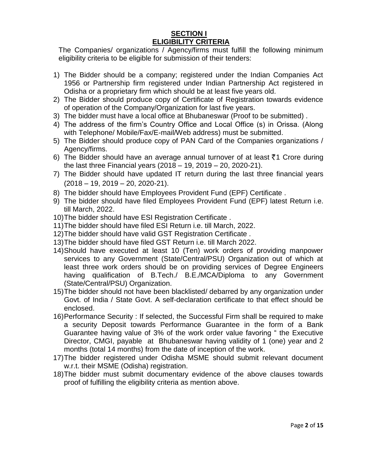### **SECTION I ELIGIBILITY CRITERIA**

The Companies/ organizations / Agency/firms must fulfill the following minimum eligibility criteria to be eligible for submission of their tenders:

- 1) The Bidder should be a company; registered under the Indian Companies Act 1956 or Partnership firm registered under Indian Partnership Act registered in Odisha or a proprietary firm which should be at least five years old.
- 2) The Bidder should produce copy of Certificate of Registration towards evidence of operation of the Company/Organization for last five years.
- 3) The bidder must have a local office at Bhubaneswar (Proof to be submitted) .
- 4) The address of the firm's Country Office and Local Office (s) in Orissa. (Along with Telephone/ Mobile/Fax/E-mail/Web address) must be submitted.
- 5) The Bidder should produce copy of PAN Card of the Companies organizations / Agency/firms.
- 6) The Bidder should have an average annual turnover of at least  $\bar{z}$ 1 Crore during the last three Financial years (2018 – 19, 2019 – 20, 2020-21).
- 7) The Bidder should have updated IT return during the last three financial years (2018 – 19, 2019 – 20, 2020-21).
- 8) The bidder should have Employees Provident Fund (EPF) Certificate .
- 9) The bidder should have filed Employees Provident Fund (EPF) latest Return i.e. till March, 2022.
- 10)The bidder should have ESI Registration Certificate .
- 11)The bidder should have filed ESI Return i.e. till March, 2022.
- 12)The bidder should have valid GST Registration Certificate .
- 13)The bidder should have filed GST Return i.e. till March 2022.
- 14)Should have executed at least 10 (Ten) work orders of providing manpower services to any Government (State/Central/PSU) Organization out of which at least three work orders should be on providing services of Degree Engineers having qualification of B.Tech./ B.E./MCA/Diploma to any Government (State/Central/PSU) Organization.
- 15)The bidder should not have been blacklisted/ debarred by any organization under Govt. of India / State Govt. A self-declaration certificate to that effect should be enclosed.
- 16)Performance Security : If selected, the Successful Firm shall be required to make a security Deposit towards Performance Guarantee in the form of a Bank Guarantee having value of 3% of the work order value favoring " the Executive Director, CMGI, payable at Bhubaneswar having validity of 1 (one) year and 2 months (total 14 months) from the date of inception of the work.
- 17)The bidder registered under Odisha MSME should submit relevant document w.r.t. their MSME (Odisha) registration.
- 18)The bidder must submit documentary evidence of the above clauses towards proof of fulfilling the eligibility criteria as mention above.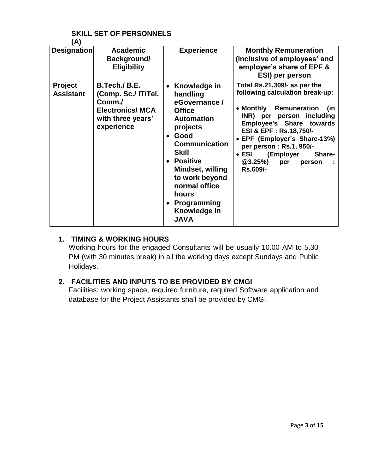#### **SKILL SET OF PERSONNELS (A)**

| (A)                                |                                                                                                             |                                                                                                                                                                                                                                                                                                                     |                                                                                                                                                                                                                                                                                                                                             |
|------------------------------------|-------------------------------------------------------------------------------------------------------------|---------------------------------------------------------------------------------------------------------------------------------------------------------------------------------------------------------------------------------------------------------------------------------------------------------------------|---------------------------------------------------------------------------------------------------------------------------------------------------------------------------------------------------------------------------------------------------------------------------------------------------------------------------------------------|
| <b>Designation</b>                 | <b>Academic</b><br>Background/<br><b>Eligibility</b>                                                        | <b>Experience</b>                                                                                                                                                                                                                                                                                                   | <b>Monthly Remuneration</b><br>(inclusive of employees' and<br>employer's share of EPF &<br>ESI) per person                                                                                                                                                                                                                                 |
| <b>Project</b><br><b>Assistant</b> | B.Tech./ B.E.<br>(Comp. Sc./ IT/Tel.<br>Comm./<br><b>Electronics/MCA</b><br>with three years'<br>experience | Knowledge in<br>$\bullet$<br>handling<br>eGovernance /<br><b>Office</b><br><b>Automation</b><br>projects<br>Good<br>$\bullet$<br><b>Communication</b><br><b>Skill</b><br><b>Positive</b><br>$\bullet$<br>Mindset, willing<br>to work beyond<br>normal office<br>hours<br>Programming<br>Knowledge in<br><b>JAVA</b> | Total Rs.21,309/- as per the<br>following calculation break-up:<br>$\bullet$ Monthly<br>Remuneration<br>(in<br>INR) per person including<br>Employee's Share towards<br>ESI & EPF : Rs.18,750/-<br>• EPF (Employer's Share-13%)<br>per person : Rs.1, 950/-<br>(Employer<br>$\bullet$ ESI<br>Share-<br>@3.25%)<br>per<br>person<br>Rs.609/- |

### **1. TIMING & WORKING HOURS**

Working hours for the engaged Consultants will be usually 10.00 AM to 5.30 PM (with 30 minutes break) in all the working days except Sundays and Public Holidays.

## **2. FACILITIES AND INPUTS TO BE PROVIDED BY CMGI**

Facilities: working space, required furniture, required Software application and database for the Project Assistants shall be provided by CMGI.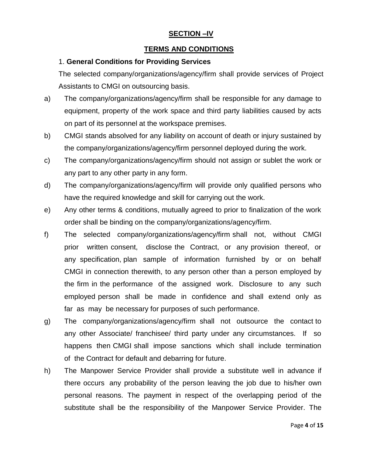# **SECTION –IV**

### **TERMS AND CONDITIONS**

#### 1. **General Conditions for Providing Services**

The selected company/organizations/agency/firm shall provide services of Project Assistants to CMGI on outsourcing basis.

- a) The company/organizations/agency/firm shall be responsible for any damage to equipment, property of the work space and third party liabilities caused by acts on part of its personnel at the workspace premises.
- b) CMGI stands absolved for any liability on account of death or injury sustained by the company/organizations/agency/firm personnel deployed during the work.
- c) The company/organizations/agency/firm should not assign or sublet the work or any part to any other party in any form.
- d) The company/organizations/agency/firm will provide only qualified persons who have the required knowledge and skill for carrying out the work.
- e) Any other terms & conditions, mutually agreed to prior to finalization of the work order shall be binding on the company/organizations/agency/firm.
- f) The selected company/organizations/agency/firm shall not, without CMGI prior written consent, disclose the Contract, or any provision thereof, or any specification, plan sample of information furnished by or on behalf CMGI in connection therewith, to any person other than a person employed by the firm in the performance of the assigned work. Disclosure to any such employed person shall be made in confidence and shall extend only as far as may be necessary for purposes of such performance.
- g) The company/organizations/agency/firm shall not outsource the contact to any other Associate/ franchisee/ third party under any circumstances. If so happens then CMGI shall impose sanctions which shall include termination of the Contract for default and debarring for future.
- h) The Manpower Service Provider shall provide a substitute well in advance if there occurs any probability of the person leaving the job due to his/her own personal reasons. The payment in respect of the overlapping period of the substitute shall be the responsibility of the Manpower Service Provider. The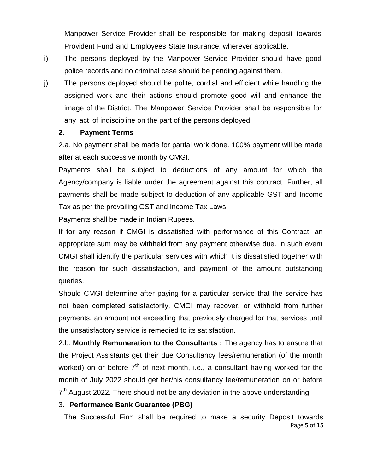Manpower Service Provider shall be responsible for making deposit towards Provident Fund and Employees State Insurance, wherever applicable.

- i) The persons deployed by the Manpower Service Provider should have good police records and no criminal case should be pending against them.
- j) The persons deployed should be polite, cordial and efficient while handling the assigned work and their actions should promote good will and enhance the image of the District. The Manpower Service Provider shall be responsible for any act of indiscipline on the part of the persons deployed.

#### **2. Payment Terms**

2.a. No payment shall be made for partial work done. 100% payment will be made after at each successive month by CMGI.

Payments shall be subject to deductions of any amount for which the Agency/company is liable under the agreement against this contract. Further, all payments shall be made subject to deduction of any applicable GST and Income Tax as per the prevailing GST and Income Tax Laws.

Payments shall be made in Indian Rupees.

If for any reason if CMGI is dissatisfied with performance of this Contract, an appropriate sum may be withheld from any payment otherwise due. In such event CMGI shall identify the particular services with which it is dissatisfied together with the reason for such dissatisfaction, and payment of the amount outstanding queries.

Should CMGI determine after paying for a particular service that the service has not been completed satisfactorily, CMGI may recover, or withhold from further payments, an amount not exceeding that previously charged for that services until the unsatisfactory service is remedied to its satisfaction.

2.b. **Monthly Remuneration to the Consultants :** The agency has to ensure that the Project Assistants get their due Consultancy fees/remuneration (of the month worked) on or before  $7<sup>th</sup>$  of next month, i.e., a consultant having worked for the month of July 2022 should get her/his consultancy fee/remuneration on or before  $7<sup>th</sup>$  August 2022. There should not be any deviation in the above understanding.

#### 3. **Performance Bank Guarantee (PBG)**

Page **5** of **15** The Successful Firm shall be required to make a security Deposit towards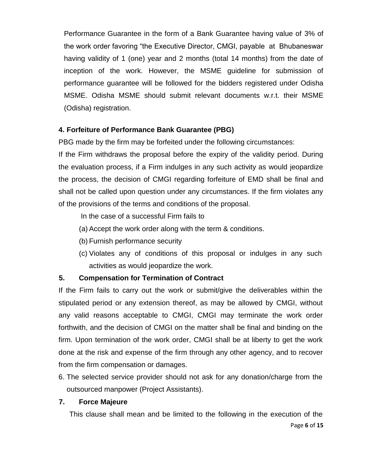Performance Guarantee in the form of a Bank Guarantee having value of 3% of the work order favoring "the Executive Director, CMGI, payable at Bhubaneswar having validity of 1 (one) year and 2 months (total 14 months) from the date of inception of the work. However, the MSME guideline for submission of performance guarantee will be followed for the bidders registered under Odisha MSME. Odisha MSME should submit relevant documents w.r.t. their MSME (Odisha) registration.

# **4. Forfeiture of Performance Bank Guarantee (PBG)**

PBG made by the firm may be forfeited under the following circumstances:

If the Firm withdraws the proposal before the expiry of the validity period. During the evaluation process, if a Firm indulges in any such activity as would jeopardize the process, the decision of CMGI regarding forfeiture of EMD shall be final and shall not be called upon question under any circumstances. If the firm violates any of the provisions of the terms and conditions of the proposal.

- In the case of a successful Firm fails to
- (a) Accept the work order along with the term & conditions.
- (b) Furnish performance security
- (c) Violates any of conditions of this proposal or indulges in any such activities as would jeopardize the work.

## **5. Compensation for Termination of Contract**

If the Firm fails to carry out the work or submit/give the deliverables within the stipulated period or any extension thereof, as may be allowed by CMGI, without any valid reasons acceptable to CMGI, CMGI may terminate the work order forthwith, and the decision of CMGI on the matter shall be final and binding on the firm. Upon termination of the work order, CMGI shall be at liberty to get the work done at the risk and expense of the firm through any other agency, and to recover from the firm compensation or damages.

6. The selected service provider should not ask for any donation/charge from the outsourced manpower (Project Assistants).

## **7. Force Majeure**

This clause shall mean and be limited to the following in the execution of the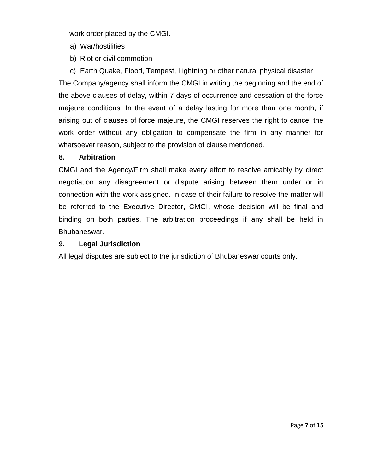work order placed by the CMGI.

- a) War/hostilities
- b) Riot or civil commotion

c) Earth Quake, Flood, Tempest, Lightning or other natural physical disaster The Company/agency shall inform the CMGI in writing the beginning and the end of the above clauses of delay, within 7 days of occurrence and cessation of the force majeure conditions. In the event of a delay lasting for more than one month, if arising out of clauses of force majeure, the CMGI reserves the right to cancel the work order without any obligation to compensate the firm in any manner for whatsoever reason, subject to the provision of clause mentioned.

### **8. Arbitration**

CMGI and the Agency/Firm shall make every effort to resolve amicably by direct negotiation any disagreement or dispute arising between them under or in connection with the work assigned. In case of their failure to resolve the matter will be referred to the Executive Director, CMGI, whose decision will be final and binding on both parties. The arbitration proceedings if any shall be held in Bhubaneswar.

### **9. Legal Jurisdiction**

All legal disputes are subject to the jurisdiction of Bhubaneswar courts only.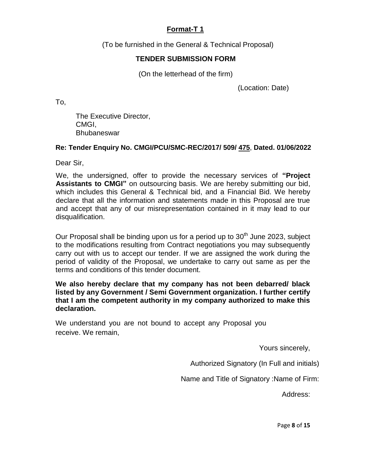# **Format-T 1**

(To be furnished in the General & Technical Proposal)

# **TENDER SUBMISSION FORM**

(On the letterhead of the firm)

(Location: Date)

To,

The Executive Director, CMGI, **Bhubaneswar** 

### **Re: Tender Enquiry No. CMGI/PCU/SMC-REC/2017/ 509/ 475**, **Dated. 01/06/2022**

Dear Sir,

We, the undersigned, offer to provide the necessary services of **"Project Assistants to CMGI"** on outsourcing basis. We are hereby submitting our bid, which includes this General & Technical bid, and a Financial Bid. We hereby declare that all the information and statements made in this Proposal are true and accept that any of our misrepresentation contained in it may lead to our disqualification.

Our Proposal shall be binding upon us for a period up to 30<sup>th</sup> June 2023, subject to the modifications resulting from Contract negotiations you may subsequently carry out with us to accept our tender. If we are assigned the work during the period of validity of the Proposal, we undertake to carry out same as per the terms and conditions of this tender document.

**We also hereby declare that my company has not been debarred/ black listed by any Government / Semi Government organization. I further certify that I am the competent authority in my company authorized to make this declaration.**

We understand you are not bound to accept any Proposal you receive. We remain,

Yours sincerely,

Authorized Signatory (In Full and initials)

Name and Title of Signatory :Name of Firm:

Address:

Page **8** of **15**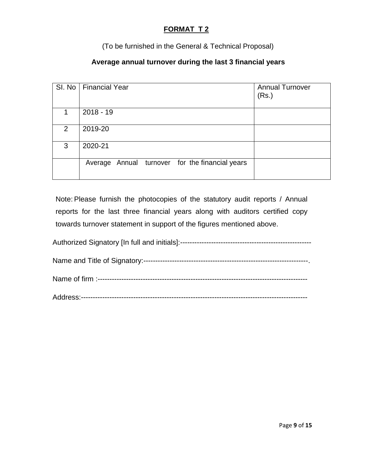# **FORMAT T 2**

(To be furnished in the General & Technical Proposal)

# **Average annual turnover during the last 3 financial years**

|                | SI. No   Financial Year                            | <b>Annual Turnover</b><br>(Rs.) |
|----------------|----------------------------------------------------|---------------------------------|
|                | $2018 - 19$                                        |                                 |
| $\overline{2}$ | 2019-20                                            |                                 |
| 3              | 2020-21                                            |                                 |
|                | Annual turnover for the financial years<br>Average |                                 |

Note: Please furnish the photocopies of the statutory audit reports / Annual reports for the last three financial years along with auditors certified copy towards turnover statement in support of the figures mentioned above.

Authorized Signatory [In full and initials]:-------------------------------------------------------

Name and Title of Signatory:---------------------------------------------------------------------.

Name of firm :----------------------------------------------------------------------------------------

Address:-----------------------------------------------------------------------------------------------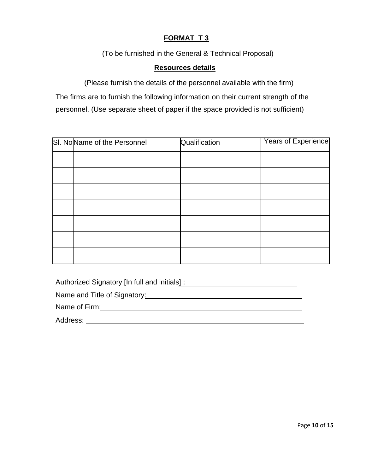## **FORMAT T 3**

(To be furnished in the General & Technical Proposal)

### **Resources details**

(Please furnish the details of the personnel available with the firm)

The firms are to furnish the following information on their current strength of the personnel. (Use separate sheet of paper if the space provided is not sufficient)

| SI. No Name of the Personnel | Qualification | <b>Years of Experience</b> |
|------------------------------|---------------|----------------------------|
|                              |               |                            |
|                              |               |                            |
|                              |               |                            |
|                              |               |                            |
|                              |               |                            |
|                              |               |                            |
|                              |               |                            |

Authorized Signatory [In full and initials] : **Mathorized Signatory [In full and initials]** :

Name and Title of Signatory:<br>
Name and Title of Signatory:

Name of Firm: Name of Firm:

Address: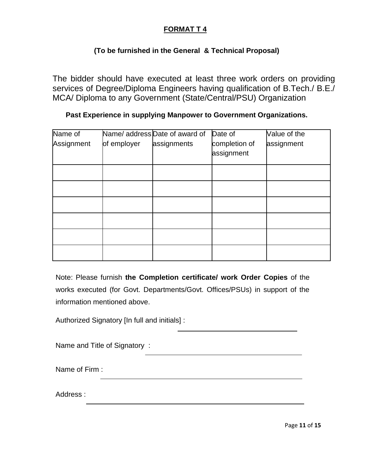# **FORMAT T 4**

# **(To be furnished in the General & Technical Proposal)**

The bidder should have executed at least three work orders on providing services of Degree/Diploma Engineers having qualification of B.Tech./ B.E./ MCA/ Diploma to any Government (State/Central/PSU) Organization

### **Past Experience in supplying Manpower to Government Organizations.**

| Name of    |             | Name/ address Date of award of | Date of       | Value of the |
|------------|-------------|--------------------------------|---------------|--------------|
| Assignment | of employer | assignments                    | completion of | assignment   |
|            |             |                                | assignment    |              |
|            |             |                                |               |              |
|            |             |                                |               |              |
|            |             |                                |               |              |
|            |             |                                |               |              |
|            |             |                                |               |              |
|            |             |                                |               |              |
|            |             |                                |               |              |

Note: Please furnish **the Completion certificate/ work Order Copies** of the works executed (for Govt. Departments/Govt. Offices/PSUs) in support of the information mentioned above.

Authorized Signatory [In full and initials] :

Name and Title of Signatory :

Name of Firm :

Address :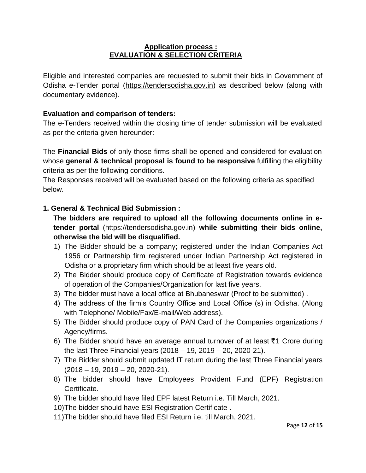### **Application process : EVALUATION & SELECTION CRITERIA**

Eligible and interested companies are requested to submit their bids in Government of Odisha e-Tender portal [\(https://tendersodisha.gov.in\)](https://tendersodisha.gov.in/) as described below (along with documentary evidence).

## **Evaluation and comparison of tenders:**

The e-Tenders received within the closing time of tender submission will be evaluated as per the criteria given hereunder:

The **Financial Bids** of only those firms shall be opened and considered for evaluation whose **general & technical proposal is found to be responsive** fulfilling the eligibility criteria as per the following conditions.

The Responses received will be evaluated based on the following criteria as specified below.

### **1. General & Technical Bid Submission :**

**The bidders are required to upload all the following documents online in etender portal** [\(https://tendersodisha.gov.in\)](https://tendersodisha.gov.in/) **while submitting their bids online, otherwise the bid will be disqualified.**

- 1) The Bidder should be a company; registered under the Indian Companies Act 1956 or Partnership firm registered under Indian Partnership Act registered in Odisha or a proprietary firm which should be at least five years old.
- 2) The Bidder should produce copy of Certificate of Registration towards evidence of operation of the Companies/Organization for last five years.
- 3) The bidder must have a local office at Bhubaneswar (Proof to be submitted) .
- 4) The address of the firm's Country Office and Local Office (s) in Odisha. (Along with Telephone/ Mobile/Fax/E-mail/Web address).
- 5) The Bidder should produce copy of PAN Card of the Companies organizations / Agency/firms.
- 6) The Bidder should have an average annual turnover of at least  $\bar{z}$  1 Crore during the last Three Financial years (2018 – 19, 2019 – 20, 2020-21).
- 7) The Bidder should submit updated IT return during the last Three Financial years (2018 – 19, 2019 – 20, 2020-21).
- 8) The bidder should have Employees Provident Fund (EPF) Registration Certificate.
- 9) The bidder should have filed EPF latest Return i.e. Till March, 2021.
- 10)The bidder should have ESI Registration Certificate .
- 11)The bidder should have filed ESI Return i.e. till March, 2021.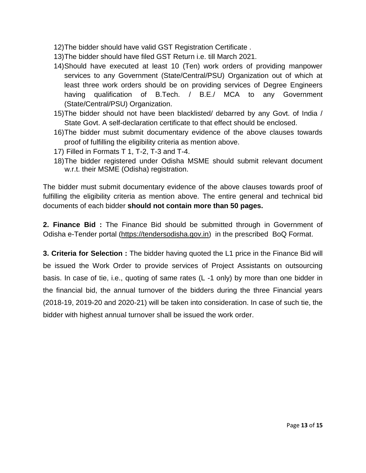- 12)The bidder should have valid GST Registration Certificate .
- 13)The bidder should have filed GST Return i.e. till March 2021.
- 14)Should have executed at least 10 (Ten) work orders of providing manpower services to any Government (State/Central/PSU) Organization out of which at least three work orders should be on providing services of Degree Engineers having qualification of B.Tech. / B.E./ MCA to any Government (State/Central/PSU) Organization.
- 15)The bidder should not have been blacklisted/ debarred by any Govt. of India / State Govt. A self-declaration certificate to that effect should be enclosed.
- 16)The bidder must submit documentary evidence of the above clauses towards proof of fulfilling the eligibility criteria as mention above.
- 17) Filled in Formats T 1, T-2, T-3 and T-4.
- 18)The bidder registered under Odisha MSME should submit relevant document w.r.t. their MSME (Odisha) registration.

The bidder must submit documentary evidence of the above clauses towards proof of fulfilling the eligibility criteria as mention above. The entire general and technical bid documents of each bidder **should not contain more than 50 pages.**

**2. Finance Bid :** The Finance Bid should be submitted through in Government of Odisha e-Tender portal [\(https://tendersodisha.gov.in\)](https://tendersodisha.gov.in/) in the prescribed BoQ Format.

**3. Criteria for Selection :** The bidder having quoted the L1 price in the Finance Bid will be issued the Work Order to provide services of Project Assistants on outsourcing basis. In case of tie, i.e., quoting of same rates (L -1 only) by more than one bidder in the financial bid, the annual turnover of the bidders during the three Financial years (2018-19, 2019-20 and 2020-21) will be taken into consideration. In case of such tie, the bidder with highest annual turnover shall be issued the work order.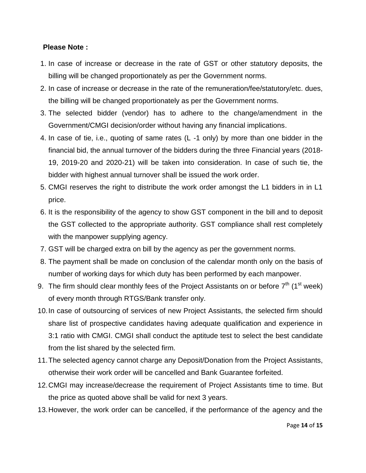### **Please Note :**

- 1. In case of increase or decrease in the rate of GST or other statutory deposits, the billing will be changed proportionately as per the Government norms.
- 2. In case of increase or decrease in the rate of the remuneration/fee/statutory/etc. dues, the billing will be changed proportionately as per the Government norms.
- 3. The selected bidder (vendor) has to adhere to the change/amendment in the Government/CMGI decision/order without having any financial implications.
- 4. In case of tie, i.e., quoting of same rates (L -1 only) by more than one bidder in the financial bid, the annual turnover of the bidders during the three Financial years (2018- 19, 2019-20 and 2020-21) will be taken into consideration. In case of such tie, the bidder with highest annual turnover shall be issued the work order.
- 5. CMGI reserves the right to distribute the work order amongst the L1 bidders in in L1 price.
- 6. It is the responsibility of the agency to show GST component in the bill and to deposit the GST collected to the appropriate authority. GST compliance shall rest completely with the manpower supplying agency.
- 7. GST will be charged extra on bill by the agency as per the government norms.
- 8. The payment shall be made on conclusion of the calendar month only on the basis of number of working days for which duty has been performed by each manpower.
- 9. The firm should clear monthly fees of the Project Assistants on or before  $7<sup>th</sup>$  (1<sup>st</sup> week) of every month through RTGS/Bank transfer only.
- 10.In case of outsourcing of services of new Project Assistants, the selected firm should share list of prospective candidates having adequate qualification and experience in 3:1 ratio with CMGI. CMGI shall conduct the aptitude test to select the best candidate from the list shared by the selected firm.
- 11.The selected agency cannot charge any Deposit/Donation from the Project Assistants, otherwise their work order will be cancelled and Bank Guarantee forfeited.
- 12.CMGI may increase/decrease the requirement of Project Assistants time to time. But the price as quoted above shall be valid for next 3 years.
- 13.However, the work order can be cancelled, if the performance of the agency and the